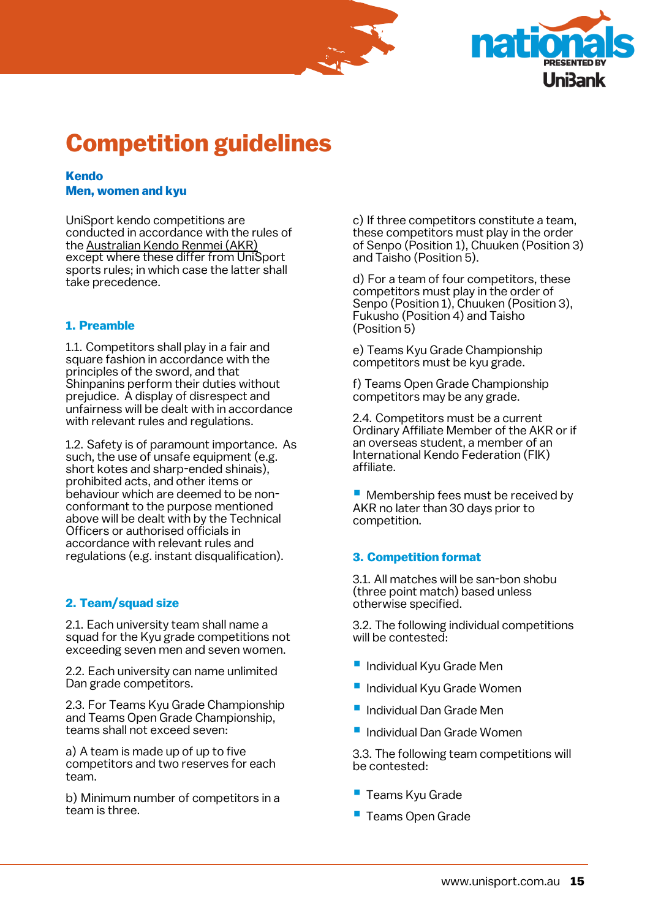



# **Competition guidelines**

### **Kendo Men, women and kyu**

UniSport kendo competitions are conducted in accordance with the rules of th[e Australian Kendo Renmei \(AKR\)](http://kendoaustralia.asn.au/content/) except where these differ from UniSport sports rules; in which case the latter shall take precedence.

# **1. Preamble**

1.1. Competitors shall play in a fair and square fashion in accordance with the principles of the sword, and that Shinpanins perform their duties without prejudice. A display of disrespect and unfairness will be dealt with in accordance with relevant rules and regulations.

1.2. Safety is of paramount importance. As such, the use of unsafe equipment (e.g. short kotes and sharp-ended shinais), prohibited acts, and other items or behaviour which are deemed to be nonconformant to the purpose mentioned above will be dealt with by the Technical Officers or authorised officials in accordance with relevant rules and regulations (e.g. instant disqualification).

# **2. Team/squad size**

2.1. Each university team shall name a squad for the Kyu grade competitions not exceeding seven men and seven women.

2.2. Each university can name unlimited Dan grade competitors.

2.3. For Teams Kyu Grade Championship and Teams Open Grade Championship, teams shall not exceed seven:

a) A team is made up of up to five competitors and two reserves for each team.

b) Minimum number of competitors in a team is three.

c) If three competitors constitute a team, these competitors must play in the order of Senpo (Position 1), Chuuken (Position 3) and Taisho (Position 5).

d) For a team of four competitors, these competitors must play in the order of Senpo (Position 1), Chuuken (Position 3), Fukusho (Position 4) and Taisho (Position 5)

e) Teams Kyu Grade Championship competitors must be kyu grade.

f) Teams Open Grade Championship competitors may be any grade.

2.4. Competitors must be a current Ordinary Affiliate Member of the AKR or if an overseas student, a member of an International Kendo Federation (FIK) affiliate.

**E** Membership fees must be received by AKR no later than 30 days prior to competition.

# **3. Competition format**

3.1. All matches will be san-bon shobu (three point match) based unless otherwise specified.

3.2. The following individual competitions will be contested:

- **Individual Kyu Grade Men**
- Individual Kyu Grade Women
- Individual Dan Grade Men
- Individual Dan Grade Women

3.3. The following team competitions will be contested:

- Teams Kyu Grade
- Teams Open Grade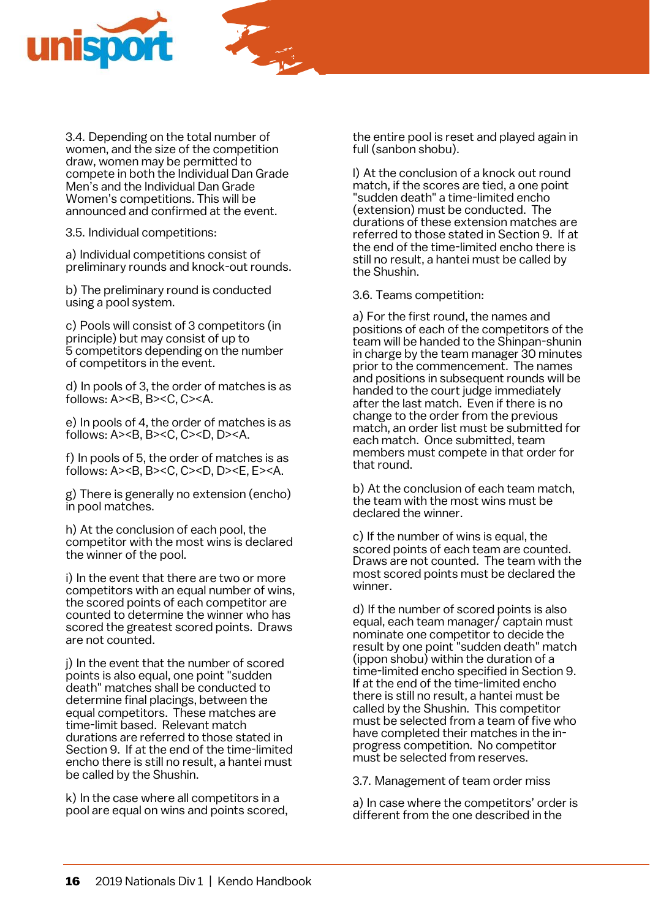

3.4. Depending on the total number of women, and the size of the competition draw, women may be permitted to compete in both the Individual Dan Grade Men's and the Individual Dan Grade Women's competitions. This will be announced and confirmed at the event.

3.5. Individual competitions:

a) Individual competitions consist of preliminary rounds and knock-out rounds.

b) The preliminary round is conducted using a pool system.

c) Pools will consist of 3 competitors (in principle) but may consist of up to 5 competitors depending on the number of competitors in the event.

d) In pools of 3, the order of matches is as follows: A><B, B><C, C><A.

e) In pools of 4, the order of matches is as follows:  $A > B$ ,  $B > C$ ,  $C > D$ ,  $D > A$ .

f) In pools of 5, the order of matches is as follows: A><B, B><C, C><D, D><E, E><A.

g) There is generally no extension (encho) in pool matches.

h) At the conclusion of each pool, the competitor with the most wins is declared the winner of the pool.

i) In the event that there are two or more competitors with an equal number of wins, the scored points of each competitor are counted to determine the winner who has scored the greatest scored points. Draws are not counted.

j) In the event that the number of scored points is also equal, one point "sudden death" matches shall be conducted to determine final placings, between the equal competitors. These matches are time-limit based. Relevant match durations are referred to those stated in Section 9. If at the end of the time-limited encho there is still no result, a hantei must be called by the Shushin.

k) In the case where all competitors in a pool are equal on wins and points scored, the entire pool is reset and played again in full (sanbon shobu).

l) At the conclusion of a knock out round match, if the scores are tied, a one point "sudden death" a time-limited encho (extension) must be conducted. The durations of these extension matches are referred to those stated in Section 9. If at the end of the time-limited encho there is still no result, a hantei must be called by the Shushin.

3.6. Teams competition:

a) For the first round, the names and positions of each of the competitors of the team will be handed to the Shinpan-shunin in charge by the team manager 30 minutes prior to the commencement. The names and positions in subsequent rounds will be handed to the court judge immediately after the last match. Even if there is no change to the order from the previous match, an order list must be submitted for each match. Once submitted, team members must compete in that order for that round.

b) At the conclusion of each team match, the team with the most wins must be declared the winner.

c) If the number of wins is equal, the scored points of each team are counted. Draws are not counted. The team with the most scored points must be declared the winner.

d) If the number of scored points is also equal, each team manager/ captain must nominate one competitor to decide the result by one point "sudden death" match (ippon shobu) within the duration of a time-limited encho specified in Section 9. If at the end of the time-limited encho there is still no result, a hantei must be called by the Shushin. This competitor must be selected from a team of five who have completed their matches in the inprogress competition. No competitor must be selected from reserves

3.7. Management of team order miss

a) In case where the competitors' order is different from the one described in the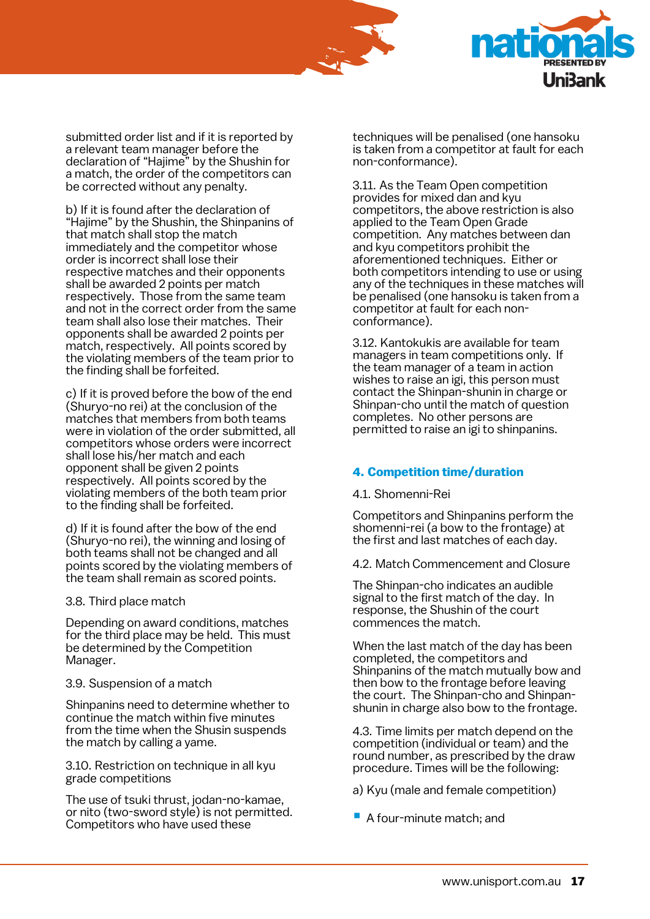



submitted order list and if it is reported by a relevant team manager before the declaration of "Hajime" by the Shushin for a match, the order of the competitors can be corrected without any penalty.

b) If it is found after the declaration of "Hajime" by the Shushin, the Shinpanins of that match shall stop the match immediately and the competitor whose order is incorrect shall lose their respective matches and their opponents shall be awarded 2 points per match respectively. Those from the same team and not in the correct order from the same team shall also lose their matches. Their opponents shall be awarded 2 points per match, respectively. All points scored by the violating members of the team prior to the finding shall be forfeited.

c) If it is proved before the bow of the end (Shuryo-no rei) at the conclusion of the matches that members from both teams were in violation of the order submitted, all competitors whose orders were incorrect shall lose his/her match and each opponent shall be given 2 points respectively. All points scored by the violating members of the both team prior to the finding shall be forfeited.

d) If it is found after the bow of the end (Shuryo-no rei), the winning and losing of both teams shall not be changed and all points scored by the violating members of the team shall remain as scored points.

3.8. Third place match

Depending on award conditions, matches for the third place may be held. This must be determined by the Competition Manager.

3.9. Suspension of a match

Shinpanins need to determine whether to continue the match within five minutes from the time when the Shusin suspends the match by calling a yame.

3.10. Restriction on technique in all kyu grade competitions

The use of tsuki thrust, jodan-no-kamae, or nito (two-sword style) is not permitted. Competitors who have used these

techniques will be penalised (one hansoku is taken from a competitor at fault for each non-conformance).

3.11. As the Team Open competition provides for mixed dan and kyu competitors, the above restriction is also applied to the Team Open Grade competition. Any matches between dan and kyu competitors prohibit the aforementioned techniques. Either or both competitors intending to use or using any of the techniques in these matches will be penalised (one hansoku is taken from a competitor at fault for each nonconformance).

3.12. Kantokukis are available for team managers in team competitions only. If the team manager of a team in action wishes to raise an igi, this person must contact the Shinpan-shunin in charge or Shinpan-cho until the match of question completes. No other persons are permitted to raise an igi to shinpanins.

# **4. Competition time/duration**

4.1. Shomenni-Rei

Competitors and Shinpanins perform the shomenni-rei (a bow to the frontage) at the first and last matches of each day.

4.2. Match Commencement and Closure

The Shinpan-cho indicates an audible signal to the first match of the day. In response, the Shushin of the court commences the match.

When the last match of the day has been completed, the competitors and Shinpanins of the match mutually bow and then bow to the frontage before leaving the court. The Shinpan-cho and Shinpanshunin in charge also bow to the frontage.

4.3. Time limits per match depend on the competition (individual or team) and the round number, as prescribed by the draw procedure. Times will be the following:

a) Kyu (male and female competition)

■ A four-minute match; and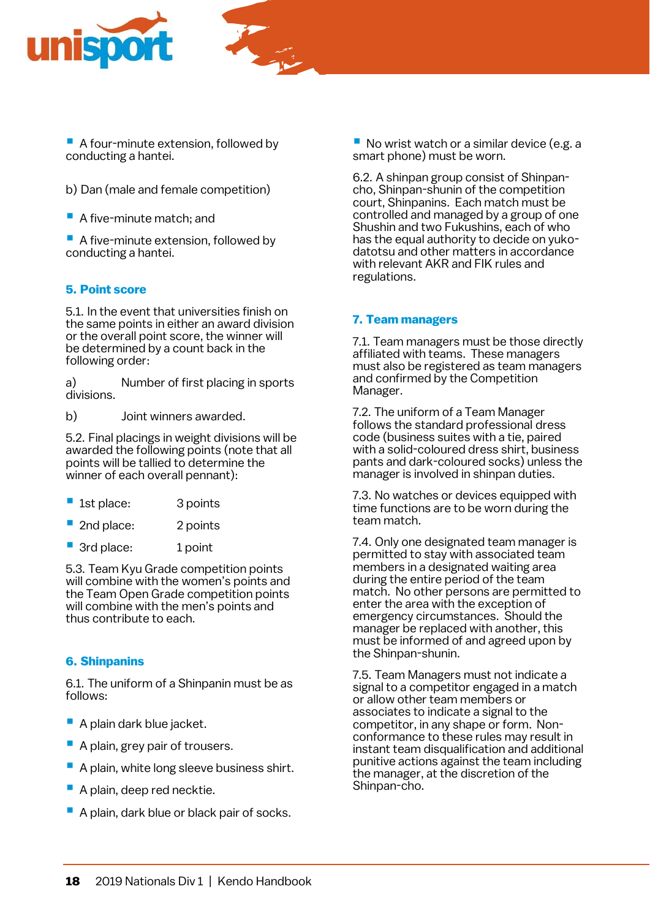



■ A four-minute extension, followed by conducting a hantei.

- b) Dan (male and female competition)
- A five-minute match; and

■ A five-minute extension, followed by conducting a hantei.

#### **5. Point score**

5.1. In the event that universities finish on the same points in either an award division or the overall point score, the winner will be determined by a count back in the following order:

a) Number of first placing in sports divisions.

b) Joint winners awarded.

5.2. Final placings in weight divisions will be awarded the following points (note that all points will be tallied to determine the winner of each overall pennant):

| 1st place: | 3 points |
|------------|----------|
|            |          |

- 2nd place: 2 points
- 3rd place: 1 point

5.3. Team Kyu Grade competition points will combine with the women's points and the Team Open Grade competition points will combine with the men's points and thus contribute to each.

#### **6. Shinpanins**

6.1. The uniform of a Shinpanin must be as follows:

- A plain dark blue jacket.
- A plain, grey pair of trousers.
- A plain, white long sleeve business shirt.
- A plain, deep red necktie.
- A plain, dark blue or black pair of socks.

■ No wrist watch or a similar device (e.g. a smart phone) must be worn.

6.2. A shinpan group consist of Shinpancho, Shinpan-shunin of the competition court, Shinpanins. Each match must be controlled and managed by a group of one Shushin and two Fukushins, each of who has the equal authority to decide on yukodatotsu and other matters in accordance with relevant AKR and FIK rules and regulations.

#### **7. Team managers**

7.1. Team managers must be those directly affiliated with teams. These managers must also be registered as team managers and confirmed by the Competition Manager.

7.2. The uniform of a Team Manager follows the standard professional dress code (business suites with a tie, paired with a solid-coloured dress shirt, business pants and dark-coloured socks) unless the manager is involved in shinpan duties.

7.3. No watches or devices equipped with time functions are to be worn during the team match.

7.4. Only one designated team manager is permitted to stay with associated team members in a designated waiting area during the entire period of the team match. No other persons are permitted to enter the area with the exception of emergency circumstances. Should the manager be replaced with another, this must be informed of and agreed upon by the Shinpan-shunin.

7.5. Team Managers must not indicate a signal to a competitor engaged in a match or allow other team members or associates to indicate a signal to the competitor, in any shape or form. Nonconformance to these rules may result in instant team disqualification and additional punitive actions against the team including the manager, at the discretion of the Shinpan-cho.